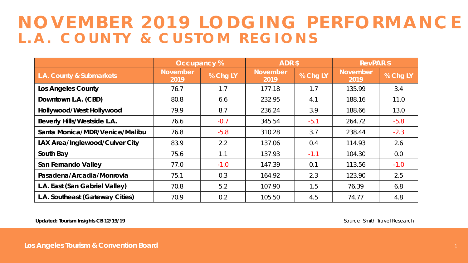## **NOVEMBER 2019 LODGING PERFORMANCE L.A. COUNTY & CUSTOM REGIONS**

|                                    | Occupancy %             |          | ADR\$                   |          | <b>RevPAR \$</b>        |          |
|------------------------------------|-------------------------|----------|-------------------------|----------|-------------------------|----------|
| L.A. County & Submarkets           | <b>November</b><br>2019 | % Chg LY | <b>November</b><br>2019 | % Chg LY | <b>November</b><br>2019 | % Chg LY |
| <b>Los Angeles County</b>          | 76.7                    | 1.7      | 177.18                  | 1.7      | 135.99                  | 3.4      |
| Downtown L.A. (CBD)                | 80.8                    | 6.6      | 232.95                  | 4.1      | 188.16                  | 11.0     |
| Hollywood/West Hollywood           | 79.9                    | 8.7      | 236.24                  | 3.9      | 188.66                  | 13.0     |
| <b>Beverly Hills/Westside L.A.</b> | 76.6                    | $-0.7$   | 345.54                  | $-5.1$   | 264.72                  | $-5.8$   |
| Santa Monica/MDR/Venice/Malibu     | 76.8                    | $-5.8$   | 310.28                  | 3.7      | 238.44                  | $-2.3$   |
| LAX Area/Inglewood/Culver City     | 83.9                    | 2.2      | 137.06                  | 0.4      | 114.93                  | 2.6      |
| South Bay                          | 75.6                    | 1.1      | 137.93                  | $-1.1$   | 104.30                  | 0.0      |
| San Fernando Valley                | 77.0                    | $-1.0$   | 147.39                  | 0.1      | 113.56                  | $-1.0$   |
| Pasadena/Arcadia/Monrovia          | 75.1                    | 0.3      | 164.92                  | 2.3      | 123.90                  | 2.5      |
| L.A. East (San Gabriel Valley)     | 70.8                    | 5.2      | 107.90                  | 1.5      | 76.39                   | 6.8      |
| L.A. Southeast (Gateway Cities)    | 70.9                    | 0.2      | 105.50                  | 4.5      | 74.77                   | 4.8      |

Updated: Tourism Insights CB 12/19/19 **Source: Smith Travel Research**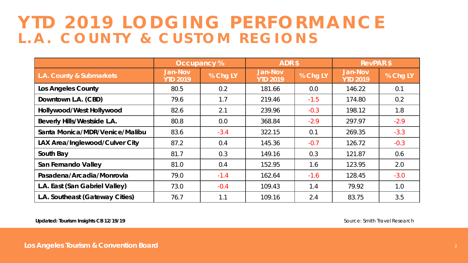## **YTD 2019 LODGING PERFORMANCE L.A. COUNTY & CUSTOM REGIONS**

|                                    |                                   | Occupancy % | ADR\$                             |          | <b>RevPAR \$</b>                  |          |
|------------------------------------|-----------------------------------|-------------|-----------------------------------|----------|-----------------------------------|----------|
| L.A. County & Submarkets           | <b>Jan-Nov</b><br><b>YTD 2019</b> | % Chg LY    | <b>Jan-Nov</b><br><b>YTD 2019</b> | % Chg LY | <b>Jan-Nov</b><br><b>YTD 2019</b> | % Chg LY |
| <b>Los Angeles County</b>          | 80.5                              | 0.2         | 181.66                            | 0.0      | 146.22                            | 0.1      |
| Downtown L.A. (CBD)                | 79.6                              | 1.7         | 219.46                            | $-1.5$   | 174.80                            | 0.2      |
| Hollywood/West Hollywood           | 82.6                              | 2.1         | 239.96                            | $-0.3$   | 198.12                            | 1.8      |
| <b>Beverly Hills/Westside L.A.</b> | 80.8                              | 0.0         | 368.84                            | $-2.9$   | 297.97                            | $-2.9$   |
| Santa Monica/MDR/Venice/Malibu     | 83.6                              | $-3.4$      | 322.15                            | 0.1      | 269.35                            | $-3.3$   |
| LAX Area/Inglewood/Culver City     | 87.2                              | 0.4         | 145.36                            | $-0.7$   | 126.72                            | $-0.3$   |
| South Bay                          | 81.7                              | 0.3         | 149.16                            | 0.3      | 121.87                            | 0.6      |
| San Fernando Valley                | 81.0                              | 0.4         | 152.95                            | 1.6      | 123.95                            | 2.0      |
| Pasadena/Arcadia/Monrovia          | 79.0                              | $-1.4$      | 162.64                            | $-1.6$   | 128.45                            | $-3.0$   |
| L.A. East (San Gabriel Valley)     | 73.0                              | $-0.4$      | 109.43                            | 1.4      | 79.92                             | 1.0      |
| L.A. Southeast (Gateway Cities)    | 76.7                              | 1.1         | 109.16                            | 2.4      | 83.75                             | 3.5      |

**Updated: Tourism Insights CB 12/19/19**

Source: Smith Travel Research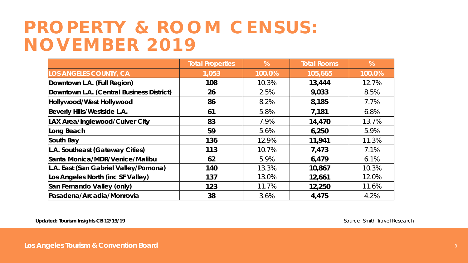## **PROPERTY & ROOM CENSUS: NOVEMBER 2019**

|                                           | <b>Total Properties</b> | %      | <b>Total Rooms</b> | %      |
|-------------------------------------------|-------------------------|--------|--------------------|--------|
| <b>LOS ANGELES COUNTY, CA</b>             | 1,053                   | 100.0% | 105,665            | 100.0% |
| Downtown L.A. (Full Region)               | 108                     | 10.3%  | 13,444             | 12.7%  |
| Downtown L.A. (Central Business District) | 26                      | 2.5%   | 9,033              | 8.5%   |
| Hollywood/West Hollywood                  | 86                      | 8.2%   | 8,185              | 7.7%   |
| Beverly Hills/Westside L.A.               | 61                      | 5.8%   | 7,181              | 6.8%   |
| LAX Area/Inglewood/Culver City            | 83                      | 7.9%   | 14,470             | 13.7%  |
| Long Beach                                | 59                      | 5.6%   | 6,250              | 5.9%   |
| South Bay                                 | 136                     | 12.9%  | 11,941             | 11.3%  |
| L.A. Southeast (Gateway Cities)           | 113                     | 10.7%  | 7,473              | 7.1%   |
| Santa Monica/MDR/Venice/Malibu            | 62                      | 5.9%   | 6,479              | 6.1%   |
| L.A. East (San Gabriel Valley/Pomona)     | 140                     | 13.3%  | 10,867             | 10.3%  |
| Los Angeles North (inc SF Valley)         | 137                     | 13.0%  | 12,661             | 12.0%  |
| San Fernando Valley (only)                | 123                     | 11.7%  | 12,250             | 11.6%  |
| Pasadena/Arcadia/Monrovia                 | 38                      | 3.6%   | 4,475              | 4.2%   |

**Updated: Tourism Insights CB 12/19/19** 

Source: Smith Travel Research